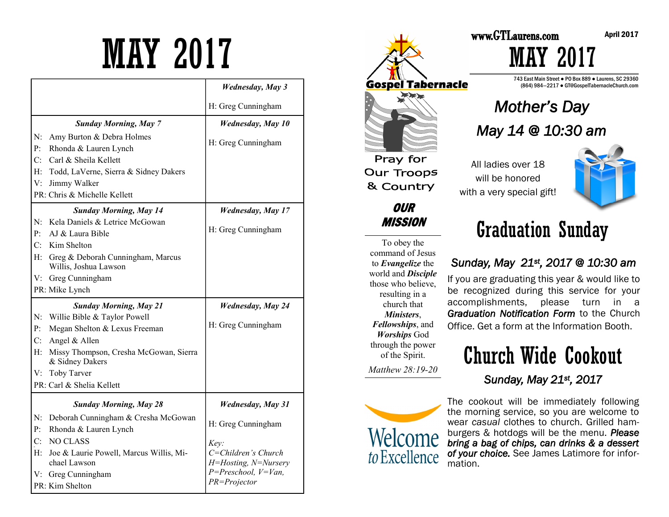# MAY 2017

|                                           |                                                                                                                                                                                 | <b>Wednesday</b> , May 3                            |
|-------------------------------------------|---------------------------------------------------------------------------------------------------------------------------------------------------------------------------------|-----------------------------------------------------|
|                                           |                                                                                                                                                                                 | H: Greg Cunningham                                  |
|                                           | <b>Sunday Morning, May 7</b>                                                                                                                                                    | <b>Wednesday</b> , May 10                           |
| P <sub>1</sub><br>V:                      | N: Amy Burton & Debra Holmes<br>Rhonda & Lauren Lynch<br>C: Carl & Sheila Kellett<br>H: Todd, LaVerne, Sierra & Sidney Dakers<br>Jimmy Walker<br>PR: Chris & Michelle Kellett   | H: Greg Cunningham                                  |
|                                           | <b>Sunday Morning, May 14</b>                                                                                                                                                   | <b>Wednesday</b> , May 17                           |
| P <sub>1</sub>                            | N: Kela Daniels & Letrice McGowan<br>AJ & Laura Bible<br>C: Kim Shelton                                                                                                         | H: Greg Cunningham                                  |
|                                           | H: Greg & Deborah Cunningham, Marcus<br>Willis, Joshua Lawson                                                                                                                   |                                                     |
|                                           | V: Greg Cunningham                                                                                                                                                              |                                                     |
|                                           | PR: Mike Lynch                                                                                                                                                                  |                                                     |
| P <sub>i</sub><br>C <sub>i</sub><br>$H$ : | <b>Sunday Morning, May 21</b><br>N: Willie Bible & Taylor Powell<br>Megan Shelton & Lexus Freeman<br>Angel & Allen<br>Missy Thompson, Cresha McGowan, Sierra<br>& Sidney Dakers | <b>Wednesday</b> , May 24<br>H: Greg Cunningham     |
|                                           | V: Toby Tarver                                                                                                                                                                  |                                                     |
|                                           | PR: Carl & Shelia Kellett                                                                                                                                                       |                                                     |
|                                           | <b>Sunday Morning, May 28</b>                                                                                                                                                   | <b>Wednesday, May 31</b>                            |
| P <sub>1</sub>                            | N: Deborah Cunningham & Cresha McGowan<br>Rhonda & Lauren Lynch                                                                                                                 | H: Greg Cunningham                                  |
| C:<br>$H$ :                               | <b>NO CLASS</b><br>Joe & Laurie Powell, Marcus Willis, Mi-<br>chael Lawson                                                                                                      | Key:<br>C=Children's Church<br>H=Hosting, N=Nursery |
|                                           | V: Greg Cunningham<br>PR: Kim Shelton                                                                                                                                           | $P = Preschool, V = Van,$<br>PR=Projector           |



To obey the command of Jesus to *Evangelize* the world and *Disciple*  those who believe, resulting in a church that *Ministers*, *Fellowships*, and *Worships* God through the power of the Spirit.

*Matthew 28:19-20* 



# MAY 2017

743 East Main Street ● PO Box 889 ● Laurens, SC 29360 (864) 984—2217 ● GT@GospelTabernacleChurch.com

### *Mother's Day May 14 @ 10:30 am*

All ladies over 18 will be honored with a very special gift!



# Graduation Sunday

#### *Sunday, May 21st, 2017 @ 10:30 am*

If you are graduating this year & would like to be recognized during this service for your accomplishments, please turn in a *Graduation Notification Form* to the Church Office. Get a form at the Information Booth.

### Church Wide Cookout *Sunday, May 21st, 2017*

The cookout will be immediately following the morning service, so you are welcome to wear *casual* clothes to church. Grilled hamburgers & hotdogs will be the menu. *Please bring a bag of chips, can drinks & a dessert of your choice.* See James Latimore for information.

April 2017